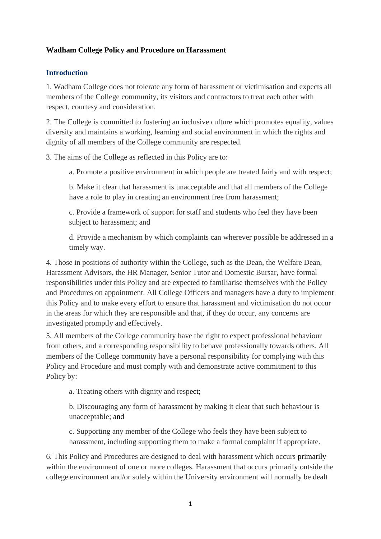### **Wadham College Policy and Procedure on Harassment**

#### **Introduction**

1. Wadham College does not tolerate any form of harassment or victimisation and expects all members of the College community, its visitors and contractors to treat each other with respect, courtesy and consideration.

2. The College is committed to fostering an inclusive culture which promotes equality, values diversity and maintains a working, learning and social environment in which the rights and dignity of all members of the College community are respected.

3. The aims of the College as reflected in this Policy are to:

a. Promote a positive environment in which people are treated fairly and with respect;

b. Make it clear that harassment is unacceptable and that all members of the College have a role to play in creating an environment free from harassment;

c. Provide a framework of support for staff and students who feel they have been subject to harassment; and

d. Provide a mechanism by which complaints can wherever possible be addressed in a timely way.

4. Those in positions of authority within the College, such as the Dean, the Welfare Dean, Harassment Advisors, the HR Manager, Senior Tutor and Domestic Bursar, have formal responsibilities under this Policy and are expected to familiarise themselves with the Policy and Procedures on appointment. All College Officers and managers have a duty to implement this Policy and to make every effort to ensure that harassment and victimisation do not occur in the areas for which they are responsible and that, if they do occur, any concerns are investigated promptly and effectively.

5. All members of the College community have the right to expect professional behaviour from others, and a corresponding responsibility to behave professionally towards others. All members of the College community have a personal responsibility for complying with this Policy and Procedure and must comply with and demonstrate active commitment to this Policy by:

a. Treating others with dignity and respect;

b. Discouraging any form of harassment by making it clear that such behaviour is unacceptable; and

c. Supporting any member of the College who feels they have been subject to harassment, including supporting them to make a formal complaint if appropriate.

6. This Policy and Procedures are designed to deal with harassment which occurs primarily within the environment of one or more colleges. Harassment that occurs primarily outside the college environment and/or solely within the University environment will normally be dealt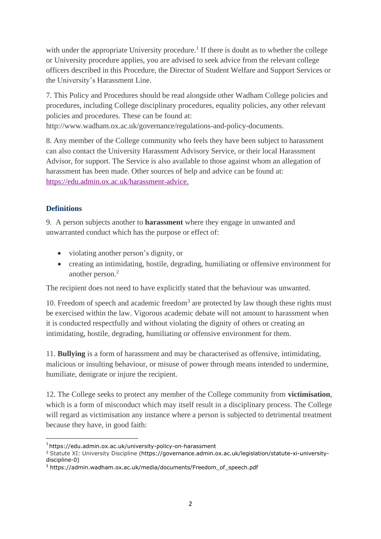with under the appropriate University procedure.<sup>1</sup> If there is doubt as to whether the college or University procedure applies, you are advised to seek advice from the relevant college officers described in this Procedure, the Director of Student Welfare and Support Services or the University's Harassment Line.

7. This Policy and Procedures should be read alongside other Wadham College policies and procedures, including College disciplinary procedures, equality policies, any other relevant policies and procedures. These can be found at:

[http://www.wadham.ox.ac.uk/governance/regulations-and-policy-documents.](http://www.wadham.ox.ac.uk/governance/regulations-and-policy-documents)

8. Any member of the College community who feels they have been subject to harassment can also contact the University Harassment Advisory Service, or their local Harassment Advisor, for support. The Service is also available to those against whom an allegation of harassment has been made. Other sources of help and advice can be found at: [https://edu.admin.ox.ac.uk/harassment-advice.](https://edu.admin.ox.ac.uk/harassment-advice)

# **Definitions**

9. A person subjects another to **harassment** where they engage in unwanted and unwarranted conduct which has the purpose or effect of:

- violating another person's dignity, or
- creating an intimidating, hostile, degrading, humiliating or offensive environment for another person.<sup>2</sup>

The recipient does not need to have explicitly stated that the behaviour was unwanted.

10. Freedom of speech and academic freedom $3$  are protected by law though these rights must be exercised within the law. Vigorous academic debate will not amount to harassment when it is conducted respectfully and without violating the dignity of others or creating an intimidating, hostile, degrading, humiliating or offensive environment for them.

11. **Bullying** is a form of harassment and may be characterised as offensive, intimidating, malicious or insulting behaviour, or misuse of power through means intended to undermine, humiliate, denigrate or injure the recipient.

12. The College seeks to protect any member of the College community from **victimisation**, which is a form of misconduct which may itself result in a disciplinary process. The College will regard as victimisation any instance where a person is subjected to detrimental treatment because they have, in good faith:

<sup>1</sup> <https://edu.admin.ox.ac.uk/university-policy-on-harassment>

<sup>&</sup>lt;sup>2</sup> Statute XI: University Discipline (https://governance.admin.ox.ac.uk/legislation/statute-xi-universitydiscipline-0)

<sup>&</sup>lt;sup>3</sup> https://admin.wadham.ox.ac.uk/media/documents/Freedom\_of\_speech.pdf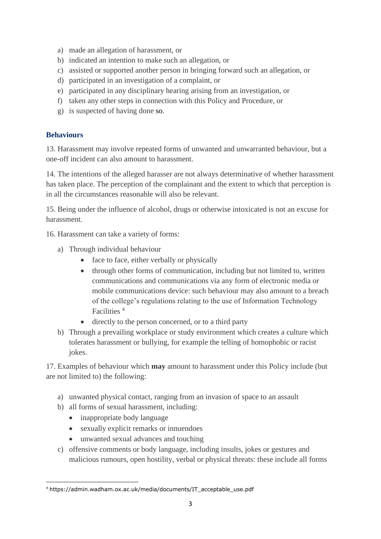- a) made an allegation of harassment, or
- b) indicated an intention to make such an allegation, or
- c) assisted or supported another person in bringing forward such an allegation, or
- d) participated in an investigation of a complaint, or
- e) participated in any disciplinary hearing arising from an investigation, or
- f) taken any other steps in connection with this Policy and Procedure, or
- g) is suspected of having done so.

### **Behaviours**

13. Harassment may involve repeated forms of unwanted and unwarranted behaviour, but a one-off incident can also amount to harassment.

14. The intentions of the alleged harasser are not always determinative of whether harassment has taken place. The perception of the complainant and the extent to which that perception is in all the circumstances reasonable will also be relevant.

15. Being under the influence of alcohol, drugs or otherwise intoxicated is not an excuse for harassment.

- 16. Harassment can take a variety of forms:
	- a) Through individual behaviour
		- face to face, either verbally or physically
		- through other forms of communication, including but not limited to, written communications and communications via any form of electronic media or mobile communications device: such behaviour may also amount to a breach of the college's regulations relating to the use of Information Technology Facilities<sup>4</sup>
		- directly to the person concerned, or to a third party
	- b) Through a prevailing workplace or study environment which creates a culture which tolerates harassment or bullying, for example the telling of homophobic or racist jokes.

17. Examples of behaviour which **may** amount to harassment under this Policy include (but are not limited to) the following:

- a) unwanted physical contact, ranging from an invasion of space to an assault
- b) all forms of sexual harassment, including:
	- inappropriate body language
	- sexually explicit remarks or innuendoes
	- unwanted sexual advances and touching
- c) offensive comments or body language, including insults, jokes or gestures and malicious rumours, open hostility, verbal or physical threats: these include all forms

<sup>4</sup> https://admin.wadham.ox.ac.uk/media/documents/IT\_acceptable\_use.pdf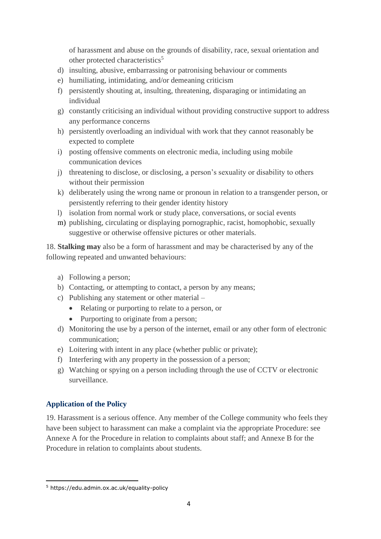of harassment and abuse on the grounds of disability, race, sexual orientation and other protected characteristics<sup>5</sup>

- d) insulting, abusive, embarrassing or patronising behaviour or comments
- e) humiliating, intimidating, and/or demeaning criticism
- f) persistently shouting at, insulting, threatening, disparaging or intimidating an individual
- g) constantly criticising an individual without providing constructive support to address any performance concerns
- h) persistently overloading an individual with work that they cannot reasonably be expected to complete
- i) posting offensive comments on electronic media, including using mobile communication devices
- j) threatening to disclose, or disclosing, a person's sexuality or disability to others without their permission
- k) deliberately using the wrong name or pronoun in relation to a transgender person, or persistently referring to their gender identity history
- l) isolation from normal work or study place, conversations, or social events
- m) publishing, circulating or displaying pornographic, racist, homophobic, sexually suggestive or otherwise offensive pictures or other materials.

18. **Stalking may** also be a form of harassment and may be characterised by any of the following repeated and unwanted behaviours:

- a) Following a person;
- b) Contacting, or attempting to contact, a person by any means;
- c) Publishing any statement or other material
	- Relating or purporting to relate to a person, or
	- Purporting to originate from a person;
- d) Monitoring the use by a person of the internet, email or any other form of electronic communication;
- e) Loitering with intent in any place (whether public or private);
- f) Interfering with any property in the possession of a person;
- g) Watching or spying on a person including through the use of CCTV or electronic surveillance.

# **Application of the Policy**

19. Harassment is a serious offence. Any member of the College community who feels they have been subject to harassment can make a complaint via the appropriate Procedure: see Annexe A for the Procedure in relation to complaints about staff; and Annexe B for the Procedure in relation to complaints about students.

<sup>5</sup> <https://edu.admin.ox.ac.uk/equality-policy>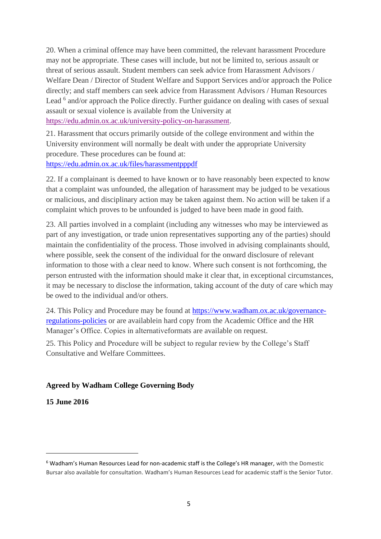20. When a criminal offence may have been committed, the relevant harassment Procedure may not be appropriate. These cases will include, but not be limited to, serious assault or threat of serious assault. Student members can seek advice from Harassment Advisors / Welfare Dean / Director of Student Welfare and Support Services and/or approach the Police directly; and staff members can seek advice from Harassment Advisors / Human Resources Lead <sup>6</sup> and/or approach the Police directly. Further guidance on dealing with cases of sexual assault or sexual violence is available from the University at

[https://edu.admin.ox.ac.uk/university-policy-on-harassment.](https://edu.admin.ox.ac.uk/university-policy-on-harassment)

21. Harassment that occurs primarily outside of the college environment and within the University environment will normally be dealt with under the appropriate University procedure. These procedures can be found at: <https://edu.admin.ox.ac.uk/files/harassmentpppdf>

22. If a complainant is deemed to have known or to have reasonably been expected to know that a complaint was unfounded, the allegation of harassment may be judged to be vexatious or malicious, and disciplinary action may be taken against them. No action will be taken if a complaint which proves to be unfounded is judged to have been made in good faith.

23. All parties involved in a complaint (including any witnesses who may be interviewed as part of any investigation, or trade union representatives supporting any of the parties) should maintain the confidentiality of the process. Those involved in advising complainants should, where possible, seek the consent of the individual for the onward disclosure of relevant information to those with a clear need to know. Where such consent is not forthcoming, the person entrusted with the information should make it clear that, in exceptional circumstances, it may be necessary to disclose the information, taking account of the duty of care which may be owed to the individual and/or others.

24. This Policy and Procedure may be found at [https://www.wadham.ox.ac.uk/governance](http://www.wadham.ox.ac.uk/governance/regulations-and-policy-documents)[regulations-policies](http://www.wadham.ox.ac.uk/governance/regulations-and-policy-documents) or are availablein hard copy from the Academic Office and the HR Manager's Office. Copies in alternativeformats are available on request.

25. This Policy and Procedure will be subject to regular review by the College's Staff Consultative and Welfare Committees.

# **Agreed by Wadham College Governing Body**

**15 June 2016**

<sup>6</sup> Wadham's Human Resources Lead for non-academic staff is the College's HR manager, with the Domestic Bursar also available for consultation. Wadham's Human Resources Lead for academic staff is the Senior Tutor.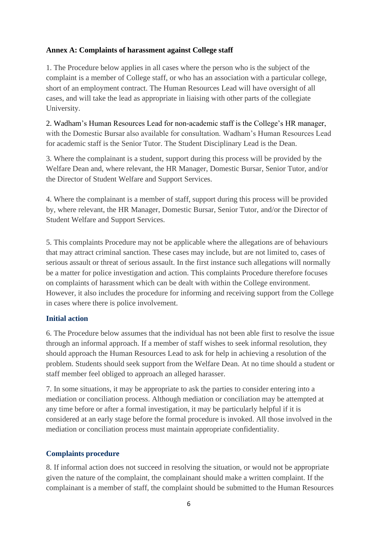### **Annex A: Complaints of harassment against College staff**

1. The Procedure below applies in all cases where the person who is the subject of the complaint is a member of College staff, or who has an association with a particular college, short of an employment contract. The Human Resources Lead will have oversight of all cases, and will take the lead as appropriate in liaising with other parts of the collegiate University.

2. Wadham's Human Resources Lead for non-academic staff is the College's HR manager, with the Domestic Bursar also available for consultation. Wadham's Human Resources Lead for academic staff is the Senior Tutor. The Student Disciplinary Lead is the Dean.

3. Where the complainant is a student, support during this process will be provided by the Welfare Dean and, where relevant, the HR Manager, Domestic Bursar, Senior Tutor, and/or the Director of Student Welfare and Support Services.

4. Where the complainant is a member of staff, support during this process will be provided by, where relevant, the HR Manager, Domestic Bursar, Senior Tutor, and/or the Director of Student Welfare and Support Services.

5. This complaints Procedure may not be applicable where the allegations are of behaviours that may attract criminal sanction. These cases may include, but are not limited to, cases of serious assault or threat of serious assault. In the first instance such allegations will normally be a matter for police investigation and action. This complaints Procedure therefore focuses on complaints of harassment which can be dealt with within the College environment. However, it also includes the procedure for informing and receiving support from the College in cases where there is police involvement.

# **Initial action**

6. The Procedure below assumes that the individual has not been able first to resolve the issue through an informal approach. If a member of staff wishes to seek informal resolution, they should approach the Human Resources Lead to ask for help in achieving a resolution of the problem. Students should seek support from the Welfare Dean. At no time should a student or staff member feel obliged to approach an alleged harasser.

7. In some situations, it may be appropriate to ask the parties to consider entering into a mediation or conciliation process. Although mediation or conciliation may be attempted at any time before or after a formal investigation, it may be particularly helpful if it is considered at an early stage before the formal procedure is invoked. All those involved in the mediation or conciliation process must maintain appropriate confidentiality.

### **Complaints procedure**

8. If informal action does not succeed in resolving the situation, or would not be appropriate given the nature of the complaint, the complainant should make a written complaint. If the complainant is a member of staff, the complaint should be submitted to the Human Resources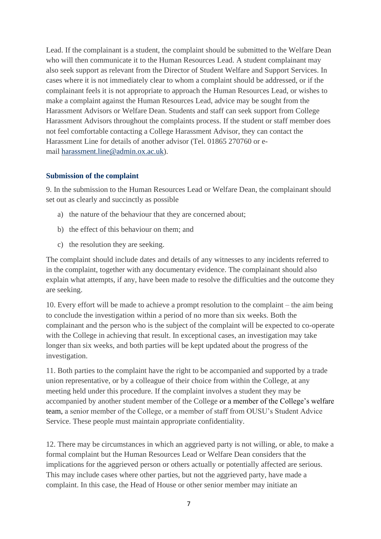Lead. If the complainant is a student, the complaint should be submitted to the Welfare Dean who will then communicate it to the Human Resources Lead. A student complainant may also seek support as relevant from the Director of Student Welfare and Support Services. In cases where it is not immediately clear to whom a complaint should be addressed, or if the complainant feels it is not appropriate to approach the Human Resources Lead, or wishes to make a complaint against the Human Resources Lead, advice may be sought from the Harassment Advisors or Welfare Dean. Students and staff can seek support from College Harassment Advisors throughout the complaints process. If the student or staff member does not feel comfortable contacting a College Harassment Advisor, they can contact the Harassment Line for details of another advisor (Tel. 01865 270760 or email [harassment.line@admin.ox.ac.uk\)](mailto:harassment.line@admin.ox.ac.uk).

#### **Submission of the complaint**

9. In the submission to the Human Resources Lead or Welfare Dean, the complainant should set out as clearly and succinctly as possible

- a) the nature of the behaviour that they are concerned about;
- b) the effect of this behaviour on them; and
- c) the resolution they are seeking.

The complaint should include dates and details of any witnesses to any incidents referred to in the complaint, together with any documentary evidence. The complainant should also explain what attempts, if any, have been made to resolve the difficulties and the outcome they are seeking.

10. Every effort will be made to achieve a prompt resolution to the complaint – the aim being to conclude the investigation within a period of no more than six weeks. Both the complainant and the person who is the subject of the complaint will be expected to co-operate with the College in achieving that result. In exceptional cases, an investigation may take longer than six weeks, and both parties will be kept updated about the progress of the investigation.

11. Both parties to the complaint have the right to be accompanied and supported by a trade union representative, or by a colleague of their choice from within the College, at any meeting held under this procedure. If the complaint involves a student they may be accompanied by another student member of the College or a member of the College's welfare team, a senior member of the College, or a member of staff from OUSU's Student Advice Service. These people must maintain appropriate confidentiality.

12. There may be circumstances in which an aggrieved party is not willing, or able, to make a formal complaint but the Human Resources Lead or Welfare Dean considers that the implications for the aggrieved person or others actually or potentially affected are serious. This may include cases where other parties, but not the aggrieved party, have made a complaint. In this case, the Head of House or other senior member may initiate an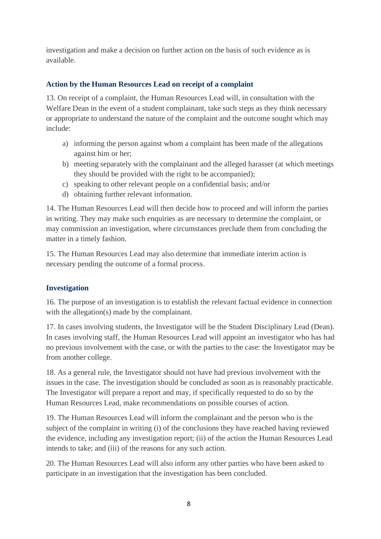investigation and make a decision on further action on the basis of such evidence as is available.

# **Action by the Human Resources Lead on receipt of a complaint**

13. On receipt of a complaint, the Human Resources Lead will, in consultation with the Welfare Dean in the event of a student complainant, take such steps as they think necessary or appropriate to understand the nature of the complaint and the outcome sought which may include:

- a) informing the person against whom a complaint has been made of the allegations against him or her;
- b) meeting separately with the complainant and the alleged harasser (at which meetings they should be provided with the right to be accompanied);
- c) speaking to other relevant people on a confidential basis; and/or
- d) obtaining further relevant information.

14. The Human Resources Lead will then decide how to proceed and will inform the parties in writing. They may make such enquiries as are necessary to determine the complaint, or may commission an investigation, where circumstances preclude them from concluding the matter in a timely fashion.

15. The Human Resources Lead may also determine that immediate interim action is necessary pending the outcome of a formal process.

# **Investigation**

16. The purpose of an investigation is to establish the relevant factual evidence in connection with the allegation(s) made by the complainant.

17. In cases involving students, the Investigator will be the Student Disciplinary Lead (Dean). In cases involving staff, the Human Resources Lead will appoint an investigator who has had no previous involvement with the case, or with the parties to the case: the Investigator may be from another college.

18. As a general rule, the Investigator should not have had previous involvement with the issues in the case. The investigation should be concluded as soon as is reasonably practicable. The Investigator will prepare a report and may, if specifically requested to do so by the Human Resources Lead, make recommendations on possible courses of action.

19. The Human Resources Lead will inform the complainant and the person who is the subject of the complaint in writing (i) of the conclusions they have reached having reviewed the evidence, including any investigation report; (ii) of the action the Human Resources Lead intends to take; and (iii) of the reasons for any such action.

20. The Human Resources Lead will also inform any other parties who have been asked to participate in an investigation that the investigation has been concluded.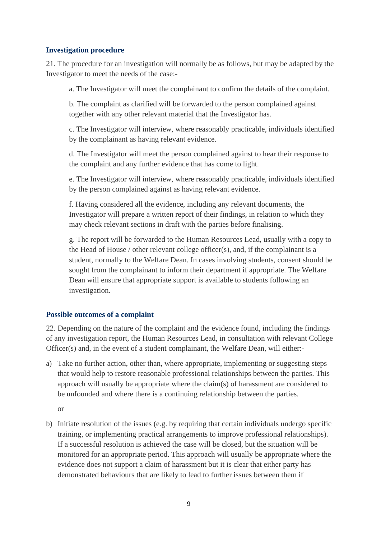#### **Investigation procedure**

21. The procedure for an investigation will normally be as follows, but may be adapted by the Investigator to meet the needs of the case:-

a. The Investigator will meet the complainant to confirm the details of the complaint.

b. The complaint as clarified will be forwarded to the person complained against together with any other relevant material that the Investigator has.

c. The Investigator will interview, where reasonably practicable, individuals identified by the complainant as having relevant evidence.

d. The Investigator will meet the person complained against to hear their response to the complaint and any further evidence that has come to light.

e. The Investigator will interview, where reasonably practicable, individuals identified by the person complained against as having relevant evidence.

f. Having considered all the evidence, including any relevant documents, the Investigator will prepare a written report of their findings, in relation to which they may check relevant sections in draft with the parties before finalising.

g. The report will be forwarded to the Human Resources Lead, usually with a copy to the Head of House / other relevant college officer(s), and, if the complainant is a student, normally to the Welfare Dean. In cases involving students, consent should be sought from the complainant to inform their department if appropriate. The Welfare Dean will ensure that appropriate support is available to students following an investigation.

### **Possible outcomes of a complaint**

22. Depending on the nature of the complaint and the evidence found, including the findings of any investigation report, the Human Resources Lead, in consultation with relevant College Officer(s) and, in the event of a student complainant, the Welfare Dean, will either:-

a) Take no further action, other than, where appropriate, implementing or suggesting steps that would help to restore reasonable professional relationships between the parties. This approach will usually be appropriate where the claim(s) of harassment are considered to be unfounded and where there is a continuing relationship between the parties.

or

b) Initiate resolution of the issues (e.g. by requiring that certain individuals undergo specific training, or implementing practical arrangements to improve professional relationships). If a successful resolution is achieved the case will be closed, but the situation will be monitored for an appropriate period. This approach will usually be appropriate where the evidence does not support a claim of harassment but it is clear that either party has demonstrated behaviours that are likely to lead to further issues between them if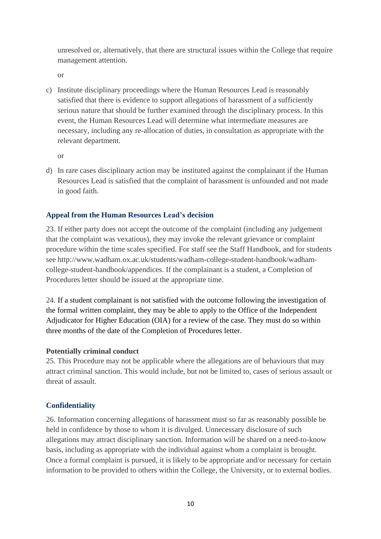unresolved or, alternatively, that there are structural issues within the College that require management attention.

or

c) Institute disciplinary proceedings where the Human Resources Lead is reasonably satisfied that there is evidence to support allegations of harassment of a sufficiently serious nature that should be further examined through the disciplinary process. In this event, the Human Resources Lead will determine what intermediate measures are necessary, including any re-allocation of duties, in consultation as appropriate with the relevant department.

or

d) In rare cases disciplinary action may be instituted against the complainant if the Human Resources Lead is satisfied that the complaint of harassment is unfounded and not made in good faith.

# **Appeal from the Human Resources Lead's decision**

23. If either party does not accept the outcome of the complaint (including any judgement that the complaint was vexatious), they may invoke the relevant grievance or complaint procedure within the time scales specified. For staff see the Staff Handbook, and for students see [http://www.wadham.ox.ac.uk/students/wadham-college-student-handbook/wadham](http://www.wadham.ox.ac.uk/students/wadham-college-student-handbook/wadham-)college-student-handbook/appendices. If the complainant is a student, a Completion of Procedures letter should be issued at the appropriate time.

24. If a student complainant is not satisfied with the outcome following the investigation of the formal written complaint, they may be able to apply to the Office of the Independent Adjudicator for Higher Education (OIA) for a review of the case. They must do so within three months of the date of the Completion of Procedures letter.

### **Potentially criminal conduct**

25. This Procedure may not be applicable where the allegations are of behaviours that may attract criminal sanction. This would include, but not be limited to, cases of serious assault or threat of assault.

### **Confidentiality**

26. Information concerning allegations of harassment must so far as reasonably possible be held in confidence by those to whom it is divulged. Unnecessary disclosure of such allegations may attract disciplinary sanction. Information will be shared on a need-to-know basis, including as appropriate with the individual against whom a complaint is brought. Once a formal complaint is pursued, it is likely to be appropriate and/or necessary for certain information to be provided to others within the College, the University, or to external bodies.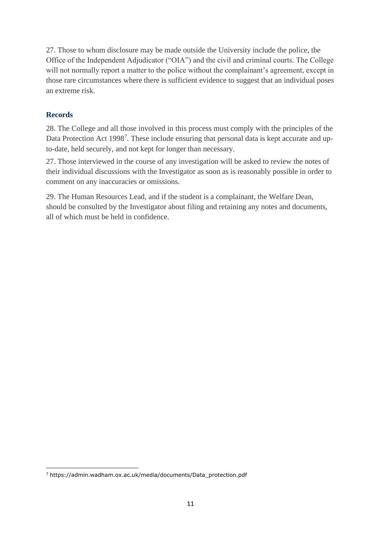27. Those to whom disclosure may be made outside the University include the police, the Office of the Independent Adjudicator ("OIA") and the civil and criminal courts. The College will not normally report a matter to the police without the complainant's agreement, except in those rare circumstances where there is sufficient evidence to suggest that an individual poses an extreme risk.

# **Records**

28. The College and all those involved in this process must comply with the principles of the Data Protection Act 1998<sup>7</sup>. These include ensuring that personal data is kept accurate and upto-date, held securely, and not kept for longer than necessary.

27. Those interviewed in the course of any investigation will be asked to review the notes of their individual discussions with the Investigator as soon as is reasonably possible in order to comment on any inaccuracies or omissions.

29. The Human Resources Lead, and if the student is a complainant, the Welfare Dean, should be consulted by the Investigator about filing and retaining any notes and documents, all of which must be held in confidence.

<sup>7</sup> https://admin.wadham.ox.ac.uk/media/documents/Data\_protection.pdf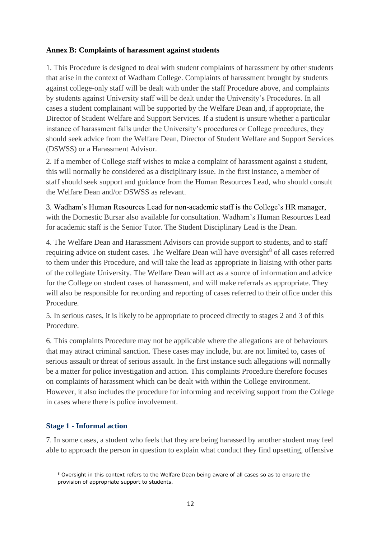### **Annex B: Complaints of harassment against students**

1. This Procedure is designed to deal with student complaints of harassment by other students that arise in the context of Wadham College. Complaints of harassment brought by students against college-only staff will be dealt with under the staff Procedure above, and complaints by students against University staff will be dealt under the University's Procedures. In all cases a student complainant will be supported by the Welfare Dean and, if appropriate, the Director of Student Welfare and Support Services. If a student is unsure whether a particular instance of harassment falls under the University's procedures or College procedures, they should seek advice from the Welfare Dean, Director of Student Welfare and Support Services (DSWSS) or a Harassment Advisor.

2. If a member of College staff wishes to make a complaint of harassment against a student, this will normally be considered as a disciplinary issue. In the first instance, a member of staff should seek support and guidance from the Human Resources Lead, who should consult the Welfare Dean and/or DSWSS as relevant.

3. Wadham's Human Resources Lead for non-academic staff is the College's HR manager, with the Domestic Bursar also available for consultation. Wadham's Human Resources Lead for academic staff is the Senior Tutor. The Student Disciplinary Lead is the Dean.

4. The Welfare Dean and Harassment Advisors can provide support to students, and to staff requiring advice on student cases. The Welfare Dean will have oversight<sup>8</sup> of all cases referred to them under this Procedure, and will take the lead as appropriate in liaising with other parts of the collegiate University. The Welfare Dean will act as a source of information and advice for the College on student cases of harassment, and will make referrals as appropriate. They will also be responsible for recording and reporting of cases referred to their office under this Procedure.

5. In serious cases, it is likely to be appropriate to proceed directly to stages 2 and 3 of this Procedure.

6. This complaints Procedure may not be applicable where the allegations are of behaviours that may attract criminal sanction. These cases may include, but are not limited to, cases of serious assault or threat of serious assault. In the first instance such allegations will normally be a matter for police investigation and action. This complaints Procedure therefore focuses on complaints of harassment which can be dealt with within the College environment. However, it also includes the procedure for informing and receiving support from the College in cases where there is police involvement.

### **Stage 1 - Informal action**

7. In some cases, a student who feels that they are being harassed by another student may feel able to approach the person in question to explain what conduct they find upsetting, offensive

<sup>8</sup> Oversight in this context refers to the Welfare Dean being aware of all cases so as to ensure the provision of appropriate support to students.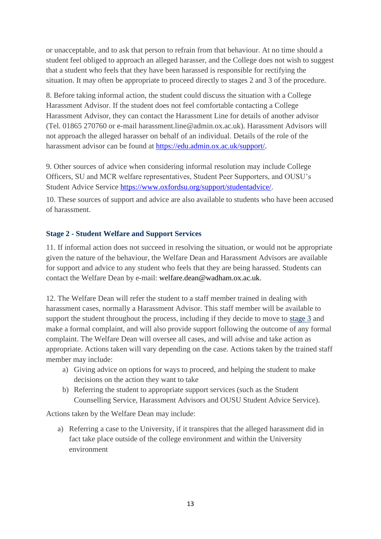or unacceptable, and to ask that person to refrain from that behaviour. At no time should a student feel obliged to approach an alleged harasser, and the College does not wish to suggest that a student who feels that they have been harassed is responsible for rectifying the situation. It may often be appropriate to proceed directly to stages 2 and 3 of the procedure.

8. Before taking informal action, the student could discuss the situation with a College Harassment Advisor. If the student does not feel comfortable contacting a College Harassment Advisor, they can contact the Harassment Line for details of another advisor (Tel. 01865 270760 or e-mail harassment.line@admin.ox.ac.uk). Harassment Advisors will not approach the alleged harasser on behalf of an individual. Details of the role of the harassment advisor can be found at [https://edu.admin.ox.ac.uk/support/.](https://edu.admin.ox.ac.uk/support/)

9. Other sources of advice when considering informal resolution may include College Officers, SU and MCR welfare representatives, Student Peer Supporters, and OUSU's Student Advice Service [https://www.oxfordsu.org/support/studentadvice/.](https://www.oxfordsu.org/support/studentadvice/)

10. These sources of support and advice are also available to students who have been accused of harassment.

### **Stage 2 - Student Welfare and Support Services**

11. If informal action does not succeed in resolving the situation, or would not be appropriate given the nature of the behaviour, the Welfare Dean and Harassment Advisors are available for support and advice to any student who feels that they are being harassed. Students can contact the Welfare Dean by e-mail: welfare.dean@wadham.ox.ac.uk.

12. The Welfare Dean will refer the student to a staff member trained in dealing with harassment cases, normally a Harassment Advisor. This staff member will be available to support the student throughout the process, including if they decide to move to [stage 3](http://www.admin.ox.ac.uk/eop/harassmentadvice/policyandprocedure/complaintsofharassmentagainststudents/#d.en.192167) and make a formal complaint, and will also provide support following the outcome of any formal complaint. The Welfare Dean will oversee all cases, and will advise and take action as appropriate. Actions taken will vary depending on the case. Actions taken by the trained staff member may include:

- a) Giving advice on options for ways to proceed, and helping the student to make decisions on the action they want to take
- b) Referring the student to appropriate support services (such as the Student Counselling Service, Harassment Advisors and OUSU Student Advice Service).

Actions taken by the Welfare Dean may include:

a) Referring a case to the University, if it transpires that the alleged harassment did in fact take place outside of the college environment and within the University environment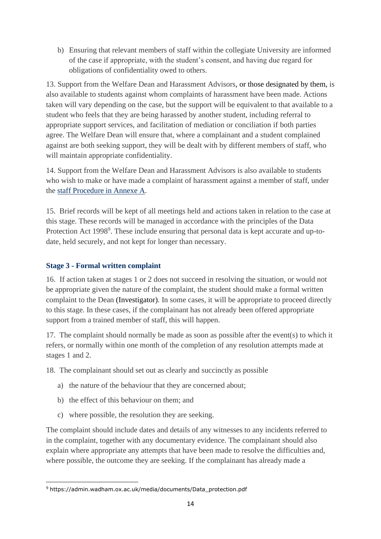b) Ensuring that relevant members of staff within the collegiate University are informed of the case if appropriate, with the student's consent, and having due regard for obligations of confidentiality owed to others.

13. Support from the Welfare Dean and Harassment Advisors, or those designated by them, is also available to students against whom complaints of harassment have been made. Actions taken will vary depending on the case, but the support will be equivalent to that available to a student who feels that they are being harassed by another student, including referral to appropriate support services, and facilitation of mediation or conciliation if both parties agree. The Welfare Dean will ensure that, where a complainant and a student complained against are both seeking support, they will be dealt with by different members of staff, who will maintain appropriate confidentiality.

14. Support from the Welfare Dean and Harassment Advisors is also available to students who wish to make or have made a complaint of harassment against a member of staff, under the staff Procedure [in Annexe](https://edu.admin.ox.ac.uk/harassment-staff) A.

15. Brief records will be kept of all meetings held and actions taken in relation to the case at this stage. These records will be managed in accordance with the principles of the Data Protection Act 1998<sup>9</sup>. These include ensuring that personal data is kept accurate and up-todate, held securely, and not kept for longer than necessary.

### **Stage 3 - Formal written complaint**

16. If action taken at stages 1 or 2 does not succeed in resolving the situation, or would not be appropriate given the nature of the complaint, the student should make a formal written complaint to the Dean (Investigator). In some cases, it will be appropriate to proceed directly to this stage. In these cases, if the complainant has not already been offered appropriate support from a trained member of staff, this will happen.

17. The complaint should normally be made as soon as possible after the event(s) to which it refers, or normally within one month of the completion of any resolution attempts made at stages 1 and 2.

18. The complainant should set out as clearly and succinctly as possible

- a) the nature of the behaviour that they are concerned about;
- b) the effect of this behaviour on them; and
- c) where possible, the resolution they are seeking.

The complaint should include dates and details of any witnesses to any incidents referred to in the complaint, together with any documentary evidence. The complainant should also explain where appropriate any attempts that have been made to resolve the difficulties and, where possible, the outcome they are seeking. If the complainant has already made a

<sup>9</sup> https://admin.wadham.ox.ac.uk/media/documents/Data\_protection.pdf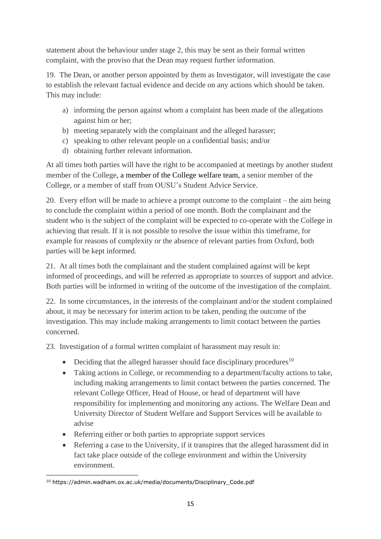statement about the behaviour under stage 2, this may be sent as their formal written complaint, with the proviso that the Dean may request further information.

19. The Dean, or another person appointed by them as Investigator, will investigate the case to establish the relevant factual evidence and decide on any actions which should be taken. This may include:

- a) informing the person against whom a complaint has been made of the allegations against him or her;
- b) meeting separately with the complainant and the alleged harasser;
- c) speaking to other relevant people on a confidential basis; and/or
- d) obtaining further relevant information.

At all times both parties will have the right to be accompanied at meetings by another student member of the College, a member of the College welfare team, a senior member of the College, or a member of staff from OUSU's Student Advice Service.

20. Every effort will be made to achieve a prompt outcome to the complaint – the aim being to conclude the complaint within a period of one month. Both the complainant and the student who is the subject of the complaint will be expected to co-operate with the College in achieving that result. If it is not possible to resolve the issue within this timeframe, for example for reasons of complexity or the absence of relevant parties from Oxford, both parties will be kept informed.

21. At all times both the complainant and the student complained against will be kept informed of proceedings, and will be referred as appropriate to sources of support and advice. Both parties will be informed in writing of the outcome of the investigation of the complaint.

22. In some circumstances, in the interests of the complainant and/or the student complained about, it may be necessary for interim action to be taken, pending the outcome of the investigation. This may include making arrangements to limit contact between the parties concerned.

23. Investigation of a formal written complaint of harassment may result in:

- Deciding that the alleged harasser should face disciplinary procedures<sup>10</sup>
- Taking actions in College, or recommending to a department/faculty actions to take, including making arrangements to limit contact between the parties concerned. The relevant College Officer, Head of House, or head of department will have responsibility for implementing and monitoring any actions. The Welfare Dean and University Director of Student Welfare and Support Services will be available to advise
- Referring either or both parties to appropriate support services
- Referring a case to the University, if it transpires that the alleged harassment did in fact take place outside of the college environment and within the University environment.

<sup>10</sup> [https://admin.wadham.ox.ac.uk/media/documents/Disciplinary\\_Code.pdf](https://admin.wadham.ox.ac.uk/media/documents/Disciplinary_Code.pdf)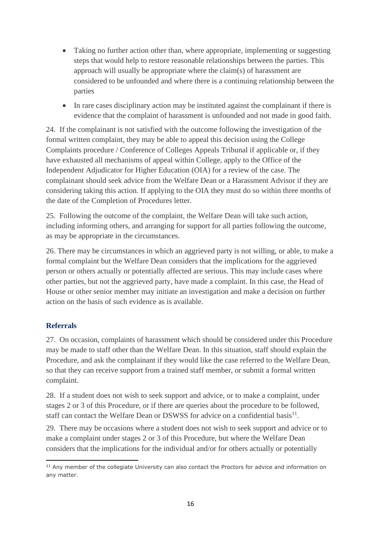- Taking no further action other than, where appropriate, implementing or suggesting steps that would help to restore reasonable relationships between the parties. This approach will usually be appropriate where the claim(s) of harassment are considered to be unfounded and where there is a continuing relationship between the parties
- In rare cases disciplinary action may be instituted against the complainant if there is evidence that the complaint of harassment is unfounded and not made in good faith.

24. If the complainant is not satisfied with the outcome following the investigation of the formal written complaint, they may be able to appeal this decision using the College Complaints procedure / Conference of Colleges Appeals Tribunal if applicable or, if they have exhausted all mechanisms of appeal within College, apply to the Office of the Independent Adjudicator for Higher Education (OIA) for a review of the case. The complainant should seek advice from the Welfare Dean or a Harassment Advisor if they are considering taking this action. If applying to the OIA they must do so within three months of the date of the Completion of Procedures letter.

25. Following the outcome of the complaint, the Welfare Dean will take such action, including informing others, and arranging for support for all parties following the outcome, as may be appropriate in the circumstances.

26. There may be circumstances in which an aggrieved party is not willing, or able, to make a formal complaint but the Welfare Dean considers that the implications for the aggrieved person or others actually or potentially affected are serious. This may include cases where other parties, but not the aggrieved party, have made a complaint. In this case, the Head of House or other senior member may initiate an investigation and make a decision on further action on the basis of such evidence as is available.

# **Referrals**

27. On occasion, complaints of harassment which should be considered under this Procedure may be made to staff other than the Welfare Dean. In this situation, staff should explain the Procedure, and ask the complainant if they would like the case referred to the Welfare Dean, so that they can receive support from a trained staff member, or submit a formal written complaint.

28. If a student does not wish to seek support and advice, or to make a complaint, under stages 2 or 3 of this Procedure, or if there are queries about the procedure to be followed, staff can contact the Welfare Dean or DSWSS for advice on a confidential basis $^{11}$ .

29. There may be occasions where a student does not wish to seek support and advice or to make a complaint under stages 2 or 3 of this Procedure, but where the Welfare Dean considers that the implications for the individual and/or for others actually or potentially

<sup>&</sup>lt;sup>11</sup> Any member of the collegiate University can also contact the Proctors for advice and information on any matter.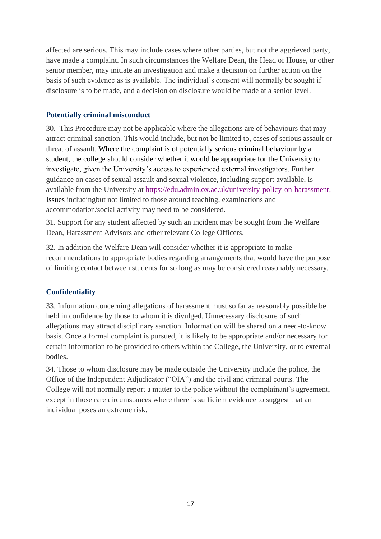affected are serious. This may include cases where other parties, but not the aggrieved party, have made a complaint. In such circumstances the Welfare Dean, the Head of House, or other senior member, may initiate an investigation and make a decision on further action on the basis of such evidence as is available. The individual's consent will normally be sought if disclosure is to be made, and a decision on disclosure would be made at a senior level.

### **Potentially criminal misconduct**

30. This Procedure may not be applicable where the allegations are of behaviours that may attract criminal sanction. This would include, but not be limited to, cases of serious assault or threat of assault. Where the complaint is of potentially serious criminal behaviour by a student, the college should consider whether it would be appropriate for the University to investigate, given the University's access to experienced external investigators. Further guidance on cases of sexual assault and sexual violence, including support available, is available from the University at [https://edu.admin.ox.ac.uk/university-policy-on-harassment.](https://edu.admin.ox.ac.uk/university-policy-on-harassment) Issues includingbut not limited to those around teaching, examinations and accommodation/social activity may need to be considered.

31. Support for any student affected by such an incident may be sought from the Welfare Dean, Harassment Advisors and other relevant College Officers.

32. In addition the Welfare Dean will consider whether it is appropriate to make recommendations to appropriate bodies regarding arrangements that would have the purpose of limiting contact between students for so long as may be considered reasonably necessary.

# **Confidentiality**

33. Information concerning allegations of harassment must so far as reasonably possible be held in confidence by those to whom it is divulged. Unnecessary disclosure of such allegations may attract disciplinary sanction. Information will be shared on a need-to-know basis. Once a formal complaint is pursued, it is likely to be appropriate and/or necessary for certain information to be provided to others within the College, the University, or to external bodies.

34. Those to whom disclosure may be made outside the University include the police, the Office of the Independent Adjudicator ("OIA") and the civil and criminal courts. The College will not normally report a matter to the police without the complainant's agreement, except in those rare circumstances where there is sufficient evidence to suggest that an individual poses an extreme risk.